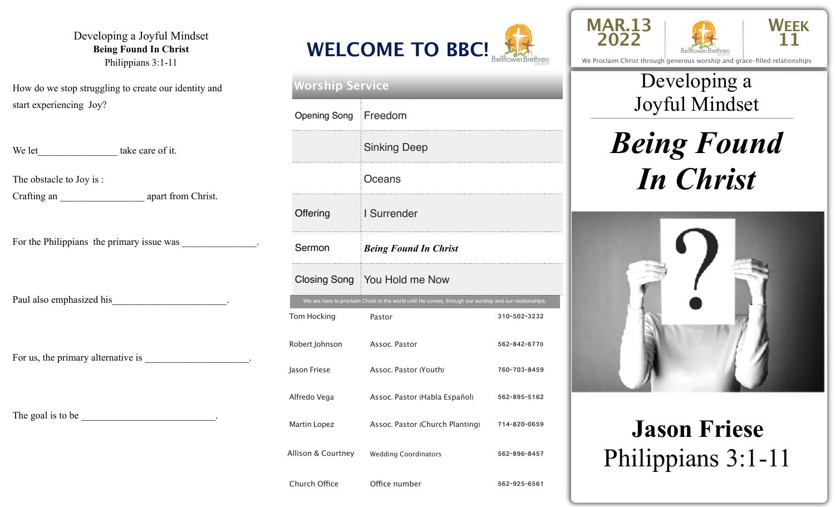#### Developing a Joyful Mindset **Being Found In Christ**  Philippians 3:1-11

How do we stop struggling to create our identity and start experiencing Joy?

| We let take care of it.                                     |
|-------------------------------------------------------------|
| The obstacle to Joy is:                                     |
| For the Philippians the primary issue was _______________.  |
| Paul also emphasized his                                    |
| For us, the primary alternative is _______________________. |
|                                                             |



| <b>Worship Service</b> |                                                                                                        |              |  |  |  |
|------------------------|--------------------------------------------------------------------------------------------------------|--------------|--|--|--|
| Opening Song Freedom   |                                                                                                        |              |  |  |  |
|                        | <b>Sinking Deep</b>                                                                                    |              |  |  |  |
|                        | Oceans                                                                                                 |              |  |  |  |
| Offering               | I Surrender                                                                                            |              |  |  |  |
| Sermon                 | <b>Being Found In Christ</b>                                                                           |              |  |  |  |
|                        | Closing Song   You Hold me Now                                                                         |              |  |  |  |
|                        | We are here to proclaim Christ to the world until He comes, through our worship and our relationships. |              |  |  |  |
| Tom Hocking            | Pastor                                                                                                 | 310-502-3232 |  |  |  |
| Robert Johnson         | Assoc. Pastor                                                                                          | 562-842-6770 |  |  |  |
| Jason Friese           | Assoc. Pastor (Youth)                                                                                  | 760-703-8459 |  |  |  |
| Alfredo Vega           | Assoc. Pastor (Habla Español)                                                                          | 562-895-5162 |  |  |  |
| Martin Lopez           | Assoc. Pastor (Church Planting)                                                                        | 714-820-0659 |  |  |  |
|                        |                                                                                                        |              |  |  |  |

Church Office **Office number** 562-925-6561





We Proclaim Christ through generous worship and grace-filled relationships

### \_\_\_\_\_\_\_\_\_\_\_\_\_\_\_\_\_\_\_\_\_\_\_\_\_\_\_\_\_\_\_\_\_\_\_\_\_\_\_\_\_\_\_\_\_\_\_\_\_ Joyful Mindset Developing a

# *Being Found In Christ*



# **Jason Friese**  Philippians 3:1-11